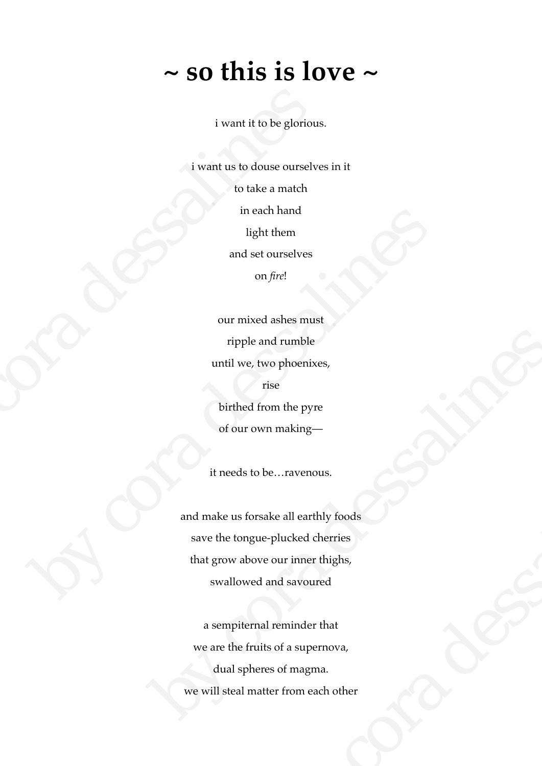## **~ so this is love ~**

i want it to be glorious.

i want us to douse ourselves in it to take a match in each hand light them and set ourselves on *fire*! i want it to be glorious<br>
i want us to douse ourselve<br>
to take a match<br>
in each hand<br>
light them<br>
and set ourselves<br>
on *fire!*<br>
our mixed ashes must<br>
ripple and rumble<br>
until we, two phoenixes<br>
rise<br>
birthed from the pyre

our mixed ashes must ripple and rumble until we, two phoenixes, rise birthed from the pyre of our own making mean nand<br>
light them<br>
and set ourselves<br>
on fire!<br>
our mixed shees must<br>
ripple and rumble<br>
until we, two phoenixes,<br>
rise<br>
birthed from the pyre<br>
of our own making—<br>
it needs to be...ravenous.<br>
and make us forsake all ea

it needs to be…ravenous.

and make us forsake all earthly foods save the tongue-plucked cherries that grow above our inner thighs, swallowed and savoured ripple and rumble<br>until we, two phoenixes,<br>rise<br>birthed from the pyre<br>of our own making—<br>it needs to be...ravenous.<br>and make us forsake all earthly foods<br>save the tongue-plucked cherries<br>that grow above our inner thighs,<br>s be...ravenous.<br>
Ake all earthly foods<br>
-plucked cherries<br>
e our inner thighs,<br>
and savoured<br>
I reminder that<br>
so f a supernova,<br>
es of magma.<br>
ter from each other<br>
ter from each other

a sempiternal reminder that we are the fruits of a supernova, dual spheres of magma. we will steal matter from each other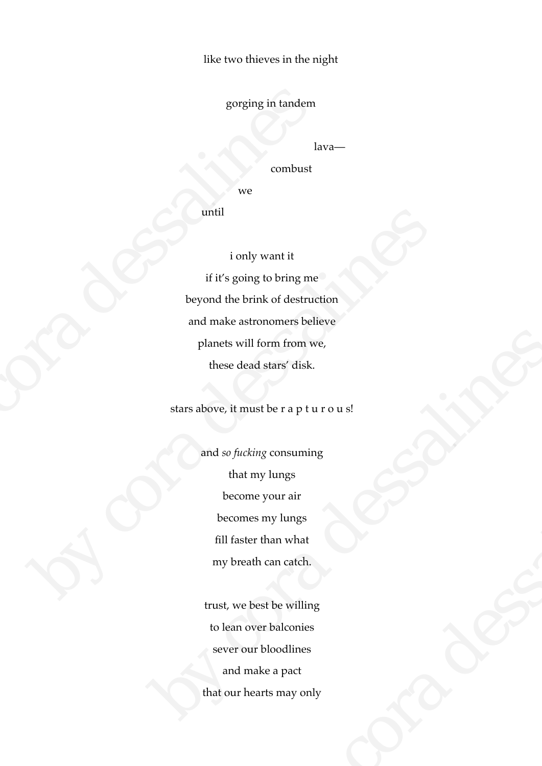like two thieves in the night

gorging in tandem

lava—

combust

we

until

i only want it if it's going to bring me beyond the brink of destruction and make astronomers believe planets will form from we, these dead stars' disk. gorging in tandem<br>
lav<br>
combust<br>
we<br>
until<br>
i only want it<br>
if it's going to bring me<br>
beyond the brink of destruction and make astronomers belie<br>
planets will form from we<br>
these dead stars' disk.<br>
stars above, it must b outil<br>
inly want it<br>
if it's going to bring me<br>
beyond the brink of destruction<br>
and make astronomers believe<br>
planets will form from we,<br>
these dead stars' disk.<br>
stars above, it must be r a p t u r o u s!<br>
and so fucking

stars above, it must be r a p t u r o u s!

and *so fucking* consuming that my lungs become your air becomes my lungs fill faster than what my breath can catch. planets will form from we,<br>these dead stars' disk.<br>stars above, it must be r a p t u r o u s!<br>and so fucking consuming<br>that my lungs<br>become your air<br>becomes my lungs<br>fill faster than what<br>my breath can catch.<br>trust, we bes consuming<br>
lungs<br>
vour air<br>
nan what<br>
can catch.<br>
the willing<br>
balconies<br>
loodlines<br>
e a pact<br>
ts may only

trust, we best be willing to lean over balconies sever our bloodlines and make a pact that our hearts may only